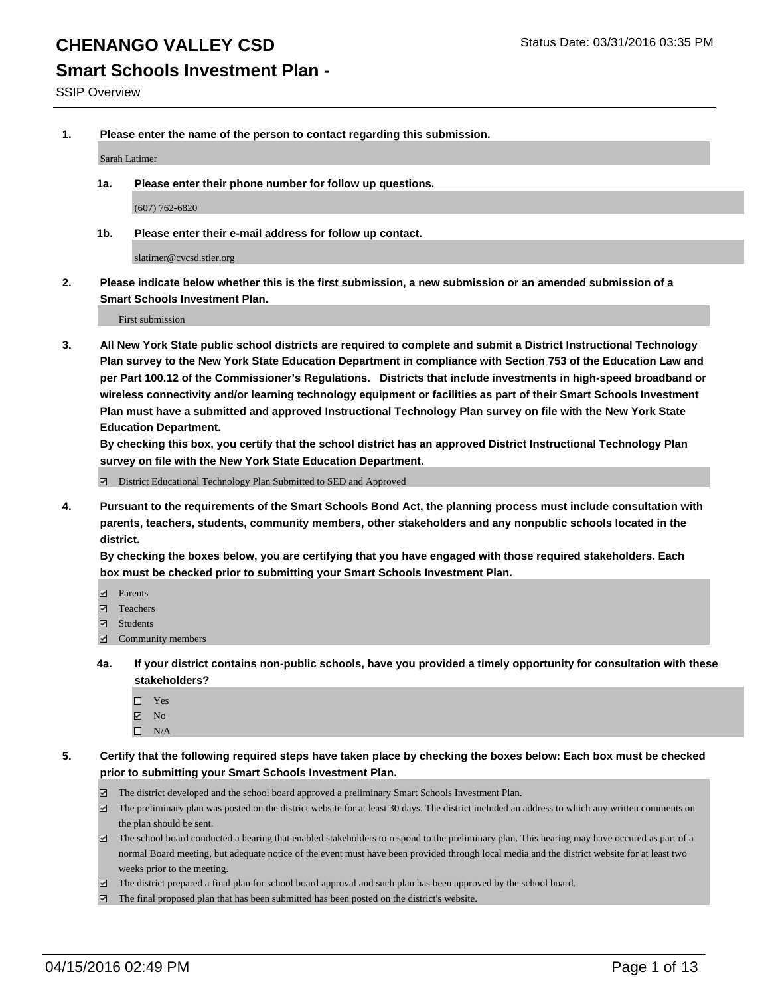### **Smart Schools Investment Plan -**

SSIP Overview

**1. Please enter the name of the person to contact regarding this submission.**

Sarah Latimer

**1a. Please enter their phone number for follow up questions.**

(607) 762-6820

**1b. Please enter their e-mail address for follow up contact.**

slatimer@cvcsd.stier.org

**2. Please indicate below whether this is the first submission, a new submission or an amended submission of a Smart Schools Investment Plan.**

First submission

**3. All New York State public school districts are required to complete and submit a District Instructional Technology Plan survey to the New York State Education Department in compliance with Section 753 of the Education Law and per Part 100.12 of the Commissioner's Regulations. Districts that include investments in high-speed broadband or wireless connectivity and/or learning technology equipment or facilities as part of their Smart Schools Investment Plan must have a submitted and approved Instructional Technology Plan survey on file with the New York State Education Department.** 

**By checking this box, you certify that the school district has an approved District Instructional Technology Plan survey on file with the New York State Education Department.**

■ District Educational Technology Plan Submitted to SED and Approved

**4. Pursuant to the requirements of the Smart Schools Bond Act, the planning process must include consultation with parents, teachers, students, community members, other stakeholders and any nonpublic schools located in the district.** 

**By checking the boxes below, you are certifying that you have engaged with those required stakeholders. Each box must be checked prior to submitting your Smart Schools Investment Plan.**

- **Parents**
- □ Teachers
- Students
- $\boxdot$  Community members
- **4a. If your district contains non-public schools, have you provided a timely opportunity for consultation with these stakeholders?**
	- □ Yes
	- **☑** No
	- $\Box$  N/A
- **5. Certify that the following required steps have taken place by checking the boxes below: Each box must be checked prior to submitting your Smart Schools Investment Plan.**
	- The district developed and the school board approved a preliminary Smart Schools Investment Plan.
	- The preliminary plan was posted on the district website for at least 30 days. The district included an address to which any written comments on the plan should be sent.
	- $\Box$  The school board conducted a hearing that enabled stakeholders to respond to the preliminary plan. This hearing may have occured as part of a normal Board meeting, but adequate notice of the event must have been provided through local media and the district website for at least two weeks prior to the meeting.
	- The district prepared a final plan for school board approval and such plan has been approved by the school board.
	- The final proposed plan that has been submitted has been posted on the district's website.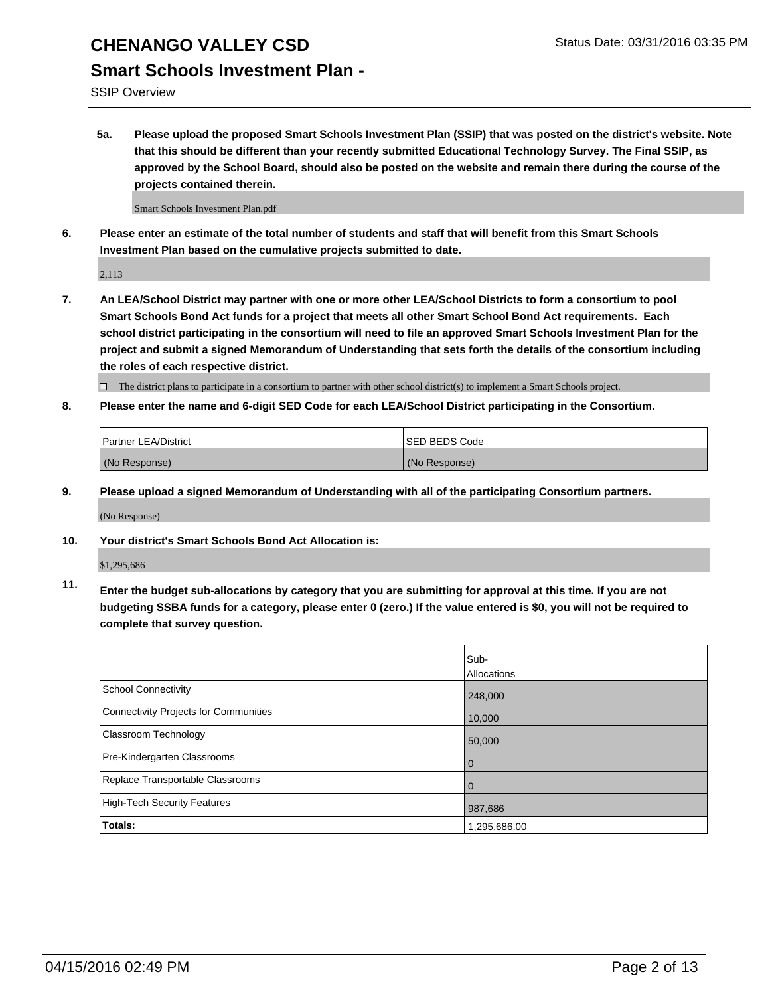### **Smart Schools Investment Plan -**

SSIP Overview

**5a. Please upload the proposed Smart Schools Investment Plan (SSIP) that was posted on the district's website. Note that this should be different than your recently submitted Educational Technology Survey. The Final SSIP, as approved by the School Board, should also be posted on the website and remain there during the course of the projects contained therein.**

Smart Schools Investment Plan.pdf

**6. Please enter an estimate of the total number of students and staff that will benefit from this Smart Schools Investment Plan based on the cumulative projects submitted to date.**

2,113

**7. An LEA/School District may partner with one or more other LEA/School Districts to form a consortium to pool Smart Schools Bond Act funds for a project that meets all other Smart School Bond Act requirements. Each school district participating in the consortium will need to file an approved Smart Schools Investment Plan for the project and submit a signed Memorandum of Understanding that sets forth the details of the consortium including the roles of each respective district.**

 $\Box$  The district plans to participate in a consortium to partner with other school district(s) to implement a Smart Schools project.

**8. Please enter the name and 6-digit SED Code for each LEA/School District participating in the Consortium.**

| Partner LEA/District | <b>ISED BEDS Code</b> |
|----------------------|-----------------------|
| (No Response)        | (No Response)         |

**9. Please upload a signed Memorandum of Understanding with all of the participating Consortium partners.**

(No Response)

**10. Your district's Smart Schools Bond Act Allocation is:**

\$1,295,686

**11. Enter the budget sub-allocations by category that you are submitting for approval at this time. If you are not budgeting SSBA funds for a category, please enter 0 (zero.) If the value entered is \$0, you will not be required to complete that survey question.**

|                                       | Sub-<br>Allocations |
|---------------------------------------|---------------------|
| <b>School Connectivity</b>            | 248,000             |
| Connectivity Projects for Communities | 10,000              |
| Classroom Technology                  | 50,000              |
| Pre-Kindergarten Classrooms           | $\Omega$            |
| Replace Transportable Classrooms      | $\Omega$            |
| <b>High-Tech Security Features</b>    | 987,686             |
| Totals:                               | 1,295,686.00        |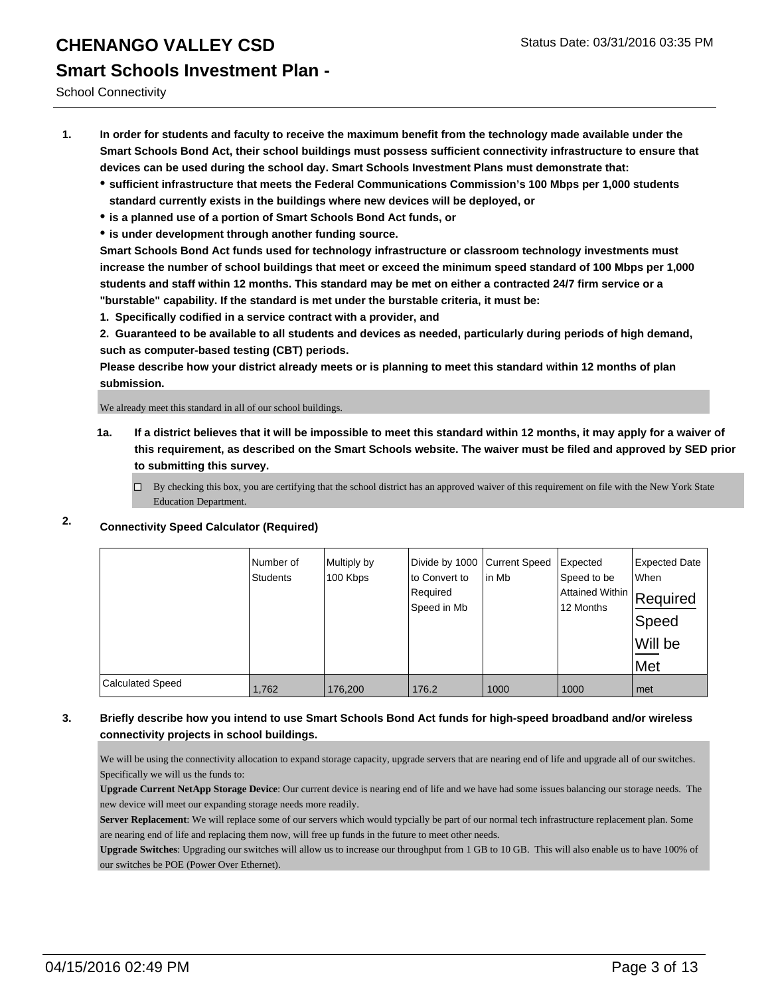### **CHENANGO VALLEY CSD** Status Date: 03/31/2016 03:35 PM **Smart Schools Investment Plan -**

School Connectivity

- **1. In order for students and faculty to receive the maximum benefit from the technology made available under the Smart Schools Bond Act, their school buildings must possess sufficient connectivity infrastructure to ensure that devices can be used during the school day. Smart Schools Investment Plans must demonstrate that:**
	- **sufficient infrastructure that meets the Federal Communications Commission's 100 Mbps per 1,000 students standard currently exists in the buildings where new devices will be deployed, or**
	- **is a planned use of a portion of Smart Schools Bond Act funds, or**
	- **is under development through another funding source.**

**Smart Schools Bond Act funds used for technology infrastructure or classroom technology investments must increase the number of school buildings that meet or exceed the minimum speed standard of 100 Mbps per 1,000 students and staff within 12 months. This standard may be met on either a contracted 24/7 firm service or a "burstable" capability. If the standard is met under the burstable criteria, it must be:**

**1. Specifically codified in a service contract with a provider, and**

**2. Guaranteed to be available to all students and devices as needed, particularly during periods of high demand, such as computer-based testing (CBT) periods.**

**Please describe how your district already meets or is planning to meet this standard within 12 months of plan submission.**

We already meet this standard in all of our school buildings.

- **1a. If a district believes that it will be impossible to meet this standard within 12 months, it may apply for a waiver of this requirement, as described on the Smart Schools website. The waiver must be filed and approved by SED prior to submitting this survey.**
	- □ By checking this box, you are certifying that the school district has an approved waiver of this requirement on file with the New York State Education Department.
- **2. Connectivity Speed Calculator (Required)**

|                         | Number of<br><b>Students</b> | Multiply by<br>100 Kbps | Divide by 1000 Current Speed<br>lto Convert to<br>Required<br>Speed in Mb | lin Mb | Expected<br>Speed to be<br>Attained Within Required<br>12 Months | <b>Expected Date</b><br>When<br>Speed<br>Will be<br>Met |
|-------------------------|------------------------------|-------------------------|---------------------------------------------------------------------------|--------|------------------------------------------------------------------|---------------------------------------------------------|
| <b>Calculated Speed</b> | 1,762                        | 176,200                 | 176.2                                                                     | 1000   | 1000                                                             | met                                                     |

#### **3. Briefly describe how you intend to use Smart Schools Bond Act funds for high-speed broadband and/or wireless connectivity projects in school buildings.**

We will be using the connectivity allocation to expand storage capacity, upgrade servers that are nearing end of life and upgrade all of our switches. Specifically we will us the funds to:

**Upgrade Current NetApp Storage Device**: Our current device is nearing end of life and we have had some issues balancing our storage needs. The new device will meet our expanding storage needs more readily.

**Server Replacement**: We will replace some of our servers which would typcially be part of our normal tech infrastructure replacement plan. Some are nearing end of life and replacing them now, will free up funds in the future to meet other needs.

**Upgrade Switches**: Upgrading our switches will allow us to increase our throughput from 1 GB to 10 GB. This will also enable us to have 100% of our switches be POE (Power Over Ethernet).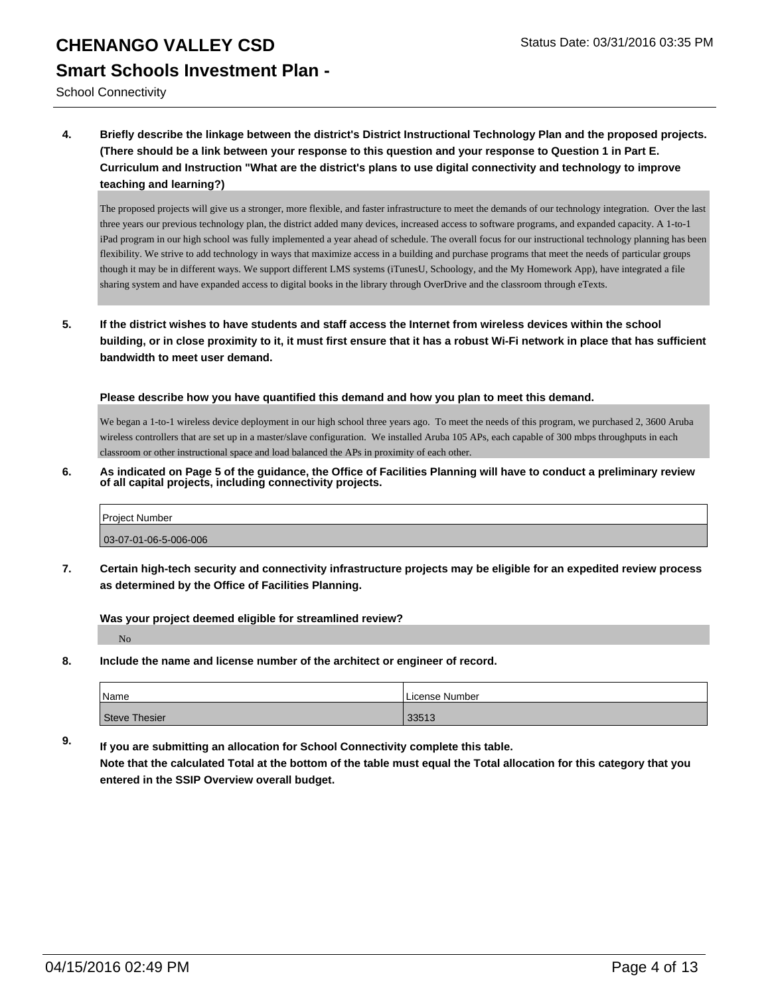# **CHENANGO VALLEY CSD** Status Date: 03/31/2016 03:35 PM **Smart Schools Investment Plan -**

School Connectivity

**4. Briefly describe the linkage between the district's District Instructional Technology Plan and the proposed projects. (There should be a link between your response to this question and your response to Question 1 in Part E. Curriculum and Instruction "What are the district's plans to use digital connectivity and technology to improve teaching and learning?)**

The proposed projects will give us a stronger, more flexible, and faster infrastructure to meet the demands of our technology integration. Over the last three years our previous technology plan, the district added many devices, increased access to software programs, and expanded capacity. A 1-to-1 iPad program in our high school was fully implemented a year ahead of schedule. The overall focus for our instructional technology planning has been flexibility. We strive to add technology in ways that maximize access in a building and purchase programs that meet the needs of particular groups though it may be in different ways. We support different LMS systems (iTunesU, Schoology, and the My Homework App), have integrated a file sharing system and have expanded access to digital books in the library through OverDrive and the classroom through eTexts.

**5. If the district wishes to have students and staff access the Internet from wireless devices within the school building, or in close proximity to it, it must first ensure that it has a robust Wi-Fi network in place that has sufficient bandwidth to meet user demand.**

**Please describe how you have quantified this demand and how you plan to meet this demand.**

We began a 1-to-1 wireless device deployment in our high school three years ago. To meet the needs of this program, we purchased 2, 3600 Aruba wireless controllers that are set up in a master/slave configuration. We installed Aruba 105 APs, each capable of 300 mbps throughputs in each classroom or other instructional space and load balanced the APs in proximity of each other.

**6. As indicated on Page 5 of the guidance, the Office of Facilities Planning will have to conduct a preliminary review of all capital projects, including connectivity projects.**

| Project Number        |  |
|-----------------------|--|
| 03-07-01-06-5-006-006 |  |

**7. Certain high-tech security and connectivity infrastructure projects may be eligible for an expedited review process as determined by the Office of Facilities Planning.**

**Was your project deemed eligible for streamlined review?**

No

**8. Include the name and license number of the architect or engineer of record.**

| Name                 | License Number |
|----------------------|----------------|
| <b>Steve Thesier</b> | 33513          |

**9. If you are submitting an allocation for School Connectivity complete this table.**

**Note that the calculated Total at the bottom of the table must equal the Total allocation for this category that you entered in the SSIP Overview overall budget.**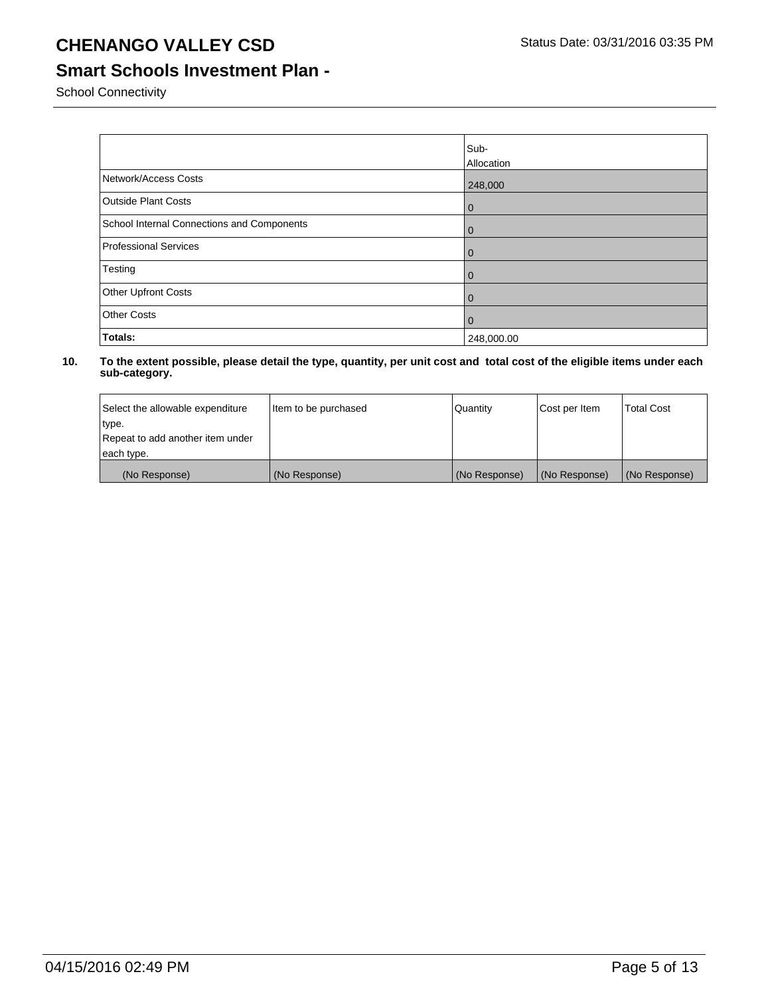### **Smart Schools Investment Plan -**

School Connectivity

|                                            | Sub-<br>Allocation |
|--------------------------------------------|--------------------|
| Network/Access Costs                       | 248,000            |
| <b>Outside Plant Costs</b>                 | $\overline{0}$     |
| School Internal Connections and Components | $\overline{0}$     |
| <b>Professional Services</b>               | $\overline{0}$     |
| Testing                                    | $\overline{0}$     |
| Other Upfront Costs                        | $\overline{0}$     |
| <b>Other Costs</b>                         | l 0                |
| Totals:                                    | 248,000.00         |

| Select the allowable expenditure | Item to be purchased | Quantity      | Cost per Item | <b>Total Cost</b> |
|----------------------------------|----------------------|---------------|---------------|-------------------|
| type.                            |                      |               |               |                   |
| Repeat to add another item under |                      |               |               |                   |
| each type.                       |                      |               |               |                   |
| (No Response)                    | (No Response)        | (No Response) | (No Response) | (No Response)     |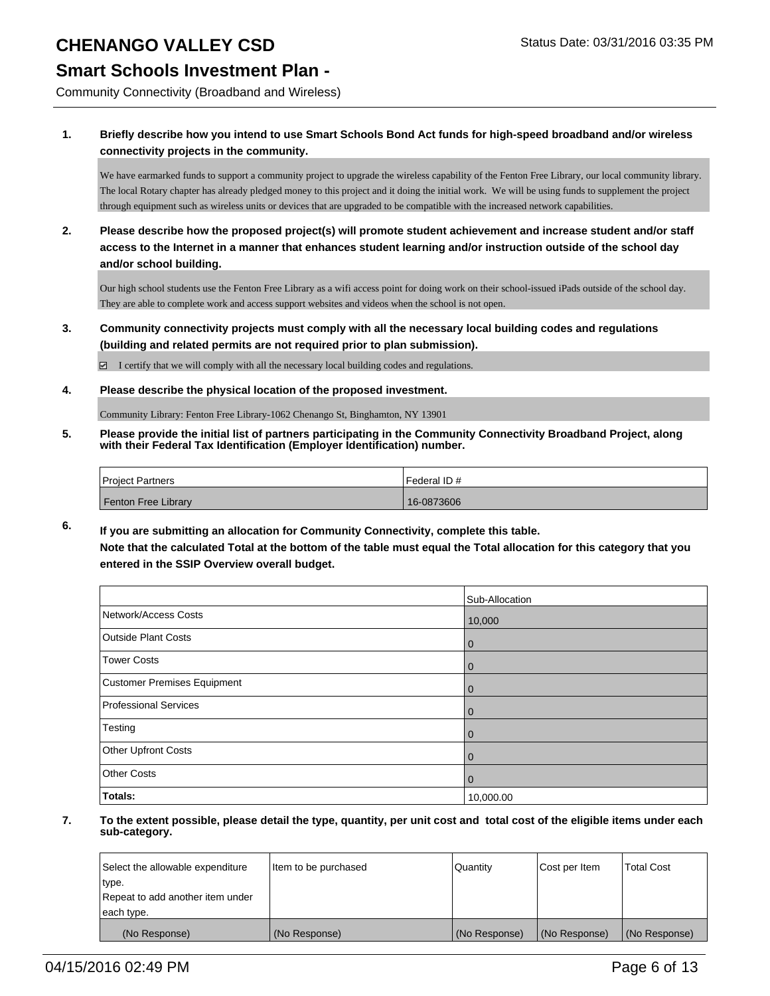#### **Smart Schools Investment Plan -**

Community Connectivity (Broadband and Wireless)

#### **1. Briefly describe how you intend to use Smart Schools Bond Act funds for high-speed broadband and/or wireless connectivity projects in the community.**

We have earmarked funds to support a community project to upgrade the wireless capability of the Fenton Free Library, our local community library. The local Rotary chapter has already pledged money to this project and it doing the initial work. We will be using funds to supplement the project through equipment such as wireless units or devices that are upgraded to be compatible with the increased network capabilities.

**2. Please describe how the proposed project(s) will promote student achievement and increase student and/or staff access to the Internet in a manner that enhances student learning and/or instruction outside of the school day and/or school building.**

Our high school students use the Fenton Free Library as a wifi access point for doing work on their school-issued iPads outside of the school day. They are able to complete work and access support websites and videos when the school is not open.

**3. Community connectivity projects must comply with all the necessary local building codes and regulations (building and related permits are not required prior to plan submission).**

 $\Box$  I certify that we will comply with all the necessary local building codes and regulations.

**4. Please describe the physical location of the proposed investment.**

Community Library: Fenton Free Library-1062 Chenango St, Binghamton, NY 13901

**5. Please provide the initial list of partners participating in the Community Connectivity Broadband Project, along with their Federal Tax Identification (Employer Identification) number.**

| <b>Project Partners</b> | Federal ID# |
|-------------------------|-------------|
| Fenton Free Library     | 16-0873606  |

**6. If you are submitting an allocation for Community Connectivity, complete this table.**

**Note that the calculated Total at the bottom of the table must equal the Total allocation for this category that you entered in the SSIP Overview overall budget.**

|                                    | Sub-Allocation |
|------------------------------------|----------------|
| Network/Access Costs               | 10,000         |
| <b>Outside Plant Costs</b>         | 0              |
| <b>Tower Costs</b>                 | O              |
| <b>Customer Premises Equipment</b> | 0              |
| <b>Professional Services</b>       | 0              |
| Testing                            | 0              |
| Other Upfront Costs                | 0              |
| <b>Other Costs</b>                 | 0              |
| Totals:                            | 10,000.00      |

| Select the allowable expenditure | litem to be purchased | Quantity      | Cost per Item | <b>Total Cost</b> |
|----------------------------------|-----------------------|---------------|---------------|-------------------|
| type.                            |                       |               |               |                   |
| Repeat to add another item under |                       |               |               |                   |
| each type.                       |                       |               |               |                   |
| (No Response)                    | (No Response)         | (No Response) | (No Response) | (No Response)     |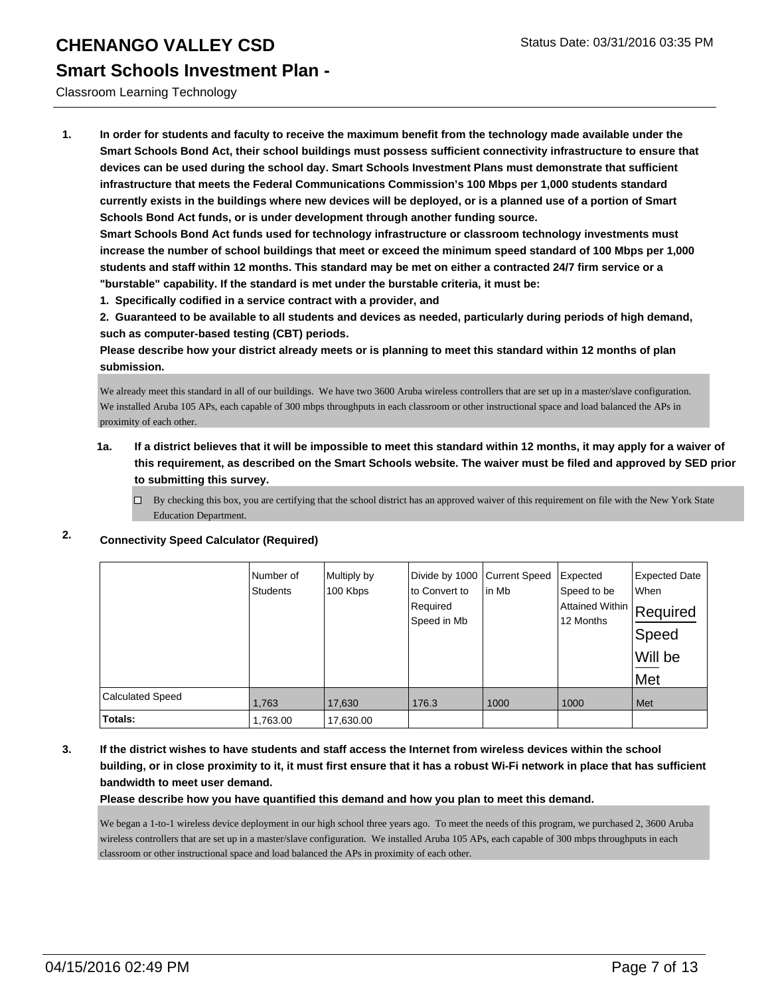### **Smart Schools Investment Plan -**

#### Classroom Learning Technology

**1. In order for students and faculty to receive the maximum benefit from the technology made available under the Smart Schools Bond Act, their school buildings must possess sufficient connectivity infrastructure to ensure that devices can be used during the school day. Smart Schools Investment Plans must demonstrate that sufficient infrastructure that meets the Federal Communications Commission's 100 Mbps per 1,000 students standard currently exists in the buildings where new devices will be deployed, or is a planned use of a portion of Smart Schools Bond Act funds, or is under development through another funding source.**

**Smart Schools Bond Act funds used for technology infrastructure or classroom technology investments must increase the number of school buildings that meet or exceed the minimum speed standard of 100 Mbps per 1,000 students and staff within 12 months. This standard may be met on either a contracted 24/7 firm service or a "burstable" capability. If the standard is met under the burstable criteria, it must be:**

**1. Specifically codified in a service contract with a provider, and**

**2. Guaranteed to be available to all students and devices as needed, particularly during periods of high demand, such as computer-based testing (CBT) periods.**

**Please describe how your district already meets or is planning to meet this standard within 12 months of plan submission.**

We already meet this standard in all of our buildings. We have two 3600 Aruba wireless controllers that are set up in a master/slave configuration. We installed Aruba 105 APs, each capable of 300 mbps throughputs in each classroom or other instructional space and load balanced the APs in proximity of each other.

#### **1a. If a district believes that it will be impossible to meet this standard within 12 months, it may apply for a waiver of this requirement, as described on the Smart Schools website. The waiver must be filed and approved by SED prior to submitting this survey.**

 $\Box$  By checking this box, you are certifying that the school district has an approved waiver of this requirement on file with the New York State Education Department.

#### **2. Connectivity Speed Calculator (Required)**

|                         | Number of<br><b>Students</b> | Multiply by<br>100 Kbps | Divide by 1000 Current Speed<br>to Convert to<br>Required<br>Speed in Mb | in Mb | Expected<br>Speed to be<br>Attained Within Required<br>12 Months | <b>Expected Date</b><br>When<br>∣Speed<br>Will be<br>Met |
|-------------------------|------------------------------|-------------------------|--------------------------------------------------------------------------|-------|------------------------------------------------------------------|----------------------------------------------------------|
| <b>Calculated Speed</b> | 1,763                        | 17,630                  | 176.3                                                                    | 1000  | 1000                                                             | Met                                                      |
| Totals:                 | 1,763.00                     | 17,630.00               |                                                                          |       |                                                                  |                                                          |

**3. If the district wishes to have students and staff access the Internet from wireless devices within the school building, or in close proximity to it, it must first ensure that it has a robust Wi-Fi network in place that has sufficient bandwidth to meet user demand.**

**Please describe how you have quantified this demand and how you plan to meet this demand.**

We began a 1-to-1 wireless device deployment in our high school three years ago. To meet the needs of this program, we purchased 2, 3600 Aruba wireless controllers that are set up in a master/slave configuration. We installed Aruba 105 APs, each capable of 300 mbps throughputs in each classroom or other instructional space and load balanced the APs in proximity of each other.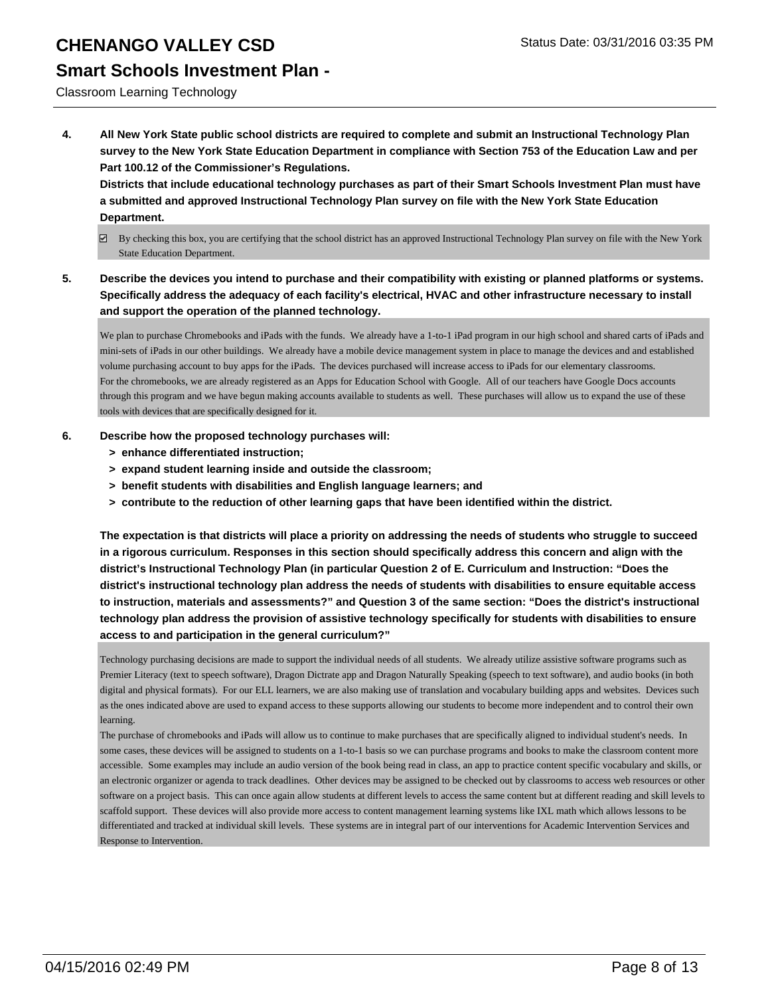### **Smart Schools Investment Plan -**

#### Classroom Learning Technology

**4. All New York State public school districts are required to complete and submit an Instructional Technology Plan survey to the New York State Education Department in compliance with Section 753 of the Education Law and per Part 100.12 of the Commissioner's Regulations.**

**Districts that include educational technology purchases as part of their Smart Schools Investment Plan must have a submitted and approved Instructional Technology Plan survey on file with the New York State Education Department.**

- $\boxtimes$  By checking this box, you are certifying that the school district has an approved Instructional Technology Plan survey on file with the New York State Education Department.
- **5. Describe the devices you intend to purchase and their compatibility with existing or planned platforms or systems. Specifically address the adequacy of each facility's electrical, HVAC and other infrastructure necessary to install and support the operation of the planned technology.**

We plan to purchase Chromebooks and iPads with the funds. We already have a 1-to-1 iPad program in our high school and shared carts of iPads and mini-sets of iPads in our other buildings. We already have a mobile device management system in place to manage the devices and and established volume purchasing account to buy apps for the iPads. The devices purchased will increase access to iPads for our elementary classrooms. For the chromebooks, we are already registered as an Apps for Education School with Google. All of our teachers have Google Docs accounts through this program and we have begun making accounts available to students as well. These purchases will allow us to expand the use of these tools with devices that are specifically designed for it.

- **6. Describe how the proposed technology purchases will:**
	- **> enhance differentiated instruction;**
	- **> expand student learning inside and outside the classroom;**
	- **> benefit students with disabilities and English language learners; and**
	- **> contribute to the reduction of other learning gaps that have been identified within the district.**

**The expectation is that districts will place a priority on addressing the needs of students who struggle to succeed in a rigorous curriculum. Responses in this section should specifically address this concern and align with the district's Instructional Technology Plan (in particular Question 2 of E. Curriculum and Instruction: "Does the district's instructional technology plan address the needs of students with disabilities to ensure equitable access to instruction, materials and assessments?" and Question 3 of the same section: "Does the district's instructional technology plan address the provision of assistive technology specifically for students with disabilities to ensure access to and participation in the general curriculum?"**

Technology purchasing decisions are made to support the individual needs of all students. We already utilize assistive software programs such as Premier Literacy (text to speech software), Dragon Dictrate app and Dragon Naturally Speaking (speech to text software), and audio books (in both digital and physical formats). For our ELL learners, we are also making use of translation and vocabulary building apps and websites. Devices such as the ones indicated above are used to expand access to these supports allowing our students to become more independent and to control their own learning.

The purchase of chromebooks and iPads will allow us to continue to make purchases that are specifically aligned to individual student's needs. In some cases, these devices will be assigned to students on a 1-to-1 basis so we can purchase programs and books to make the classroom content more accessible. Some examples may include an audio version of the book being read in class, an app to practice content specific vocabulary and skills, or an electronic organizer or agenda to track deadlines. Other devices may be assigned to be checked out by classrooms to access web resources or other software on a project basis. This can once again allow students at different levels to access the same content but at different reading and skill levels to scaffold support. These devices will also provide more access to content management learning systems like IXL math which allows lessons to be differentiated and tracked at individual skill levels. These systems are in integral part of our interventions for Academic Intervention Services and Response to Intervention.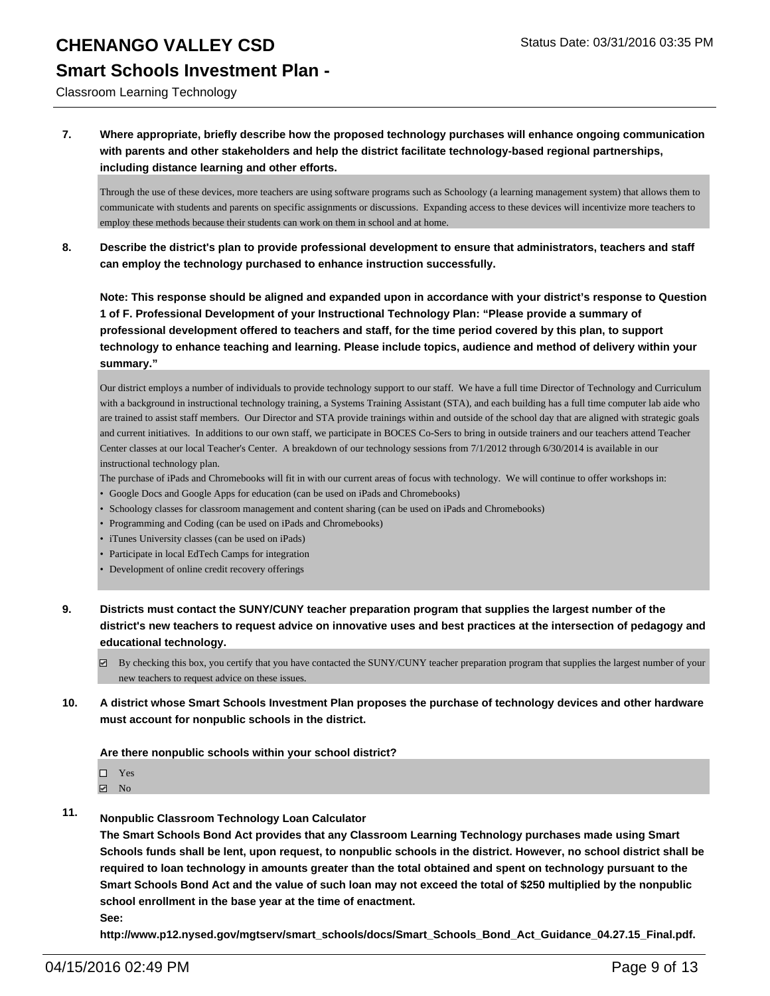### **Smart Schools Investment Plan -**

Classroom Learning Technology

**7. Where appropriate, briefly describe how the proposed technology purchases will enhance ongoing communication with parents and other stakeholders and help the district facilitate technology-based regional partnerships, including distance learning and other efforts.**

Through the use of these devices, more teachers are using software programs such as Schoology (a learning management system) that allows them to communicate with students and parents on specific assignments or discussions. Expanding access to these devices will incentivize more teachers to employ these methods because their students can work on them in school and at home.

**8. Describe the district's plan to provide professional development to ensure that administrators, teachers and staff can employ the technology purchased to enhance instruction successfully.**

**Note: This response should be aligned and expanded upon in accordance with your district's response to Question 1 of F. Professional Development of your Instructional Technology Plan: "Please provide a summary of professional development offered to teachers and staff, for the time period covered by this plan, to support technology to enhance teaching and learning. Please include topics, audience and method of delivery within your summary."**

Our district employs a number of individuals to provide technology support to our staff. We have a full time Director of Technology and Curriculum with a background in instructional technology training, a Systems Training Assistant (STA), and each building has a full time computer lab aide who are trained to assist staff members. Our Director and STA provide trainings within and outside of the school day that are aligned with strategic goals and current initiatives. In additions to our own staff, we participate in BOCES Co-Sers to bring in outside trainers and our teachers attend Teacher Center classes at our local Teacher's Center. A breakdown of our technology sessions from 7/1/2012 through 6/30/2014 is available in our instructional technology plan.

- The purchase of iPads and Chromebooks will fit in with our current areas of focus with technology. We will continue to offer workshops in:
- Google Docs and Google Apps for education (can be used on iPads and Chromebooks)
- Schoology classes for classroom management and content sharing (can be used on iPads and Chromebooks)
- Programming and Coding (can be used on iPads and Chromebooks)
- iTunes University classes (can be used on iPads)
- Participate in local EdTech Camps for integration
- Development of online credit recovery offerings
- **9. Districts must contact the SUNY/CUNY teacher preparation program that supplies the largest number of the district's new teachers to request advice on innovative uses and best practices at the intersection of pedagogy and educational technology.**
	- $\boxtimes$  By checking this box, you certify that you have contacted the SUNY/CUNY teacher preparation program that supplies the largest number of your new teachers to request advice on these issues.
- **10. A district whose Smart Schools Investment Plan proposes the purchase of technology devices and other hardware must account for nonpublic schools in the district.**

#### **Are there nonpublic schools within your school district?**

- Yes
- $\boxtimes$  No
- **11. Nonpublic Classroom Technology Loan Calculator**

**The Smart Schools Bond Act provides that any Classroom Learning Technology purchases made using Smart Schools funds shall be lent, upon request, to nonpublic schools in the district. However, no school district shall be required to loan technology in amounts greater than the total obtained and spent on technology pursuant to the Smart Schools Bond Act and the value of such loan may not exceed the total of \$250 multiplied by the nonpublic school enrollment in the base year at the time of enactment.**

**See:**

**http://www.p12.nysed.gov/mgtserv/smart\_schools/docs/Smart\_Schools\_Bond\_Act\_Guidance\_04.27.15\_Final.pdf.**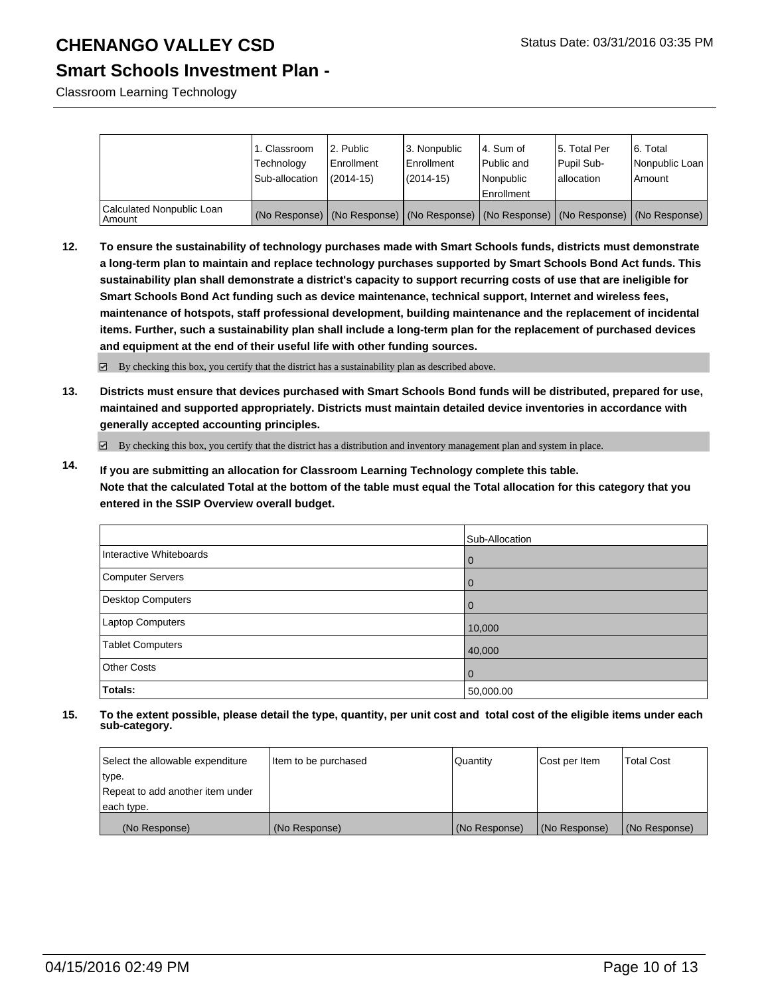### **Smart Schools Investment Plan -**

Classroom Learning Technology

|                                       | 1. Classroom   | 2. Public     | 3. Nonpublic      | l 4. Sum of                                                                                   | 15. Total Per | 6. Total       |
|---------------------------------------|----------------|---------------|-------------------|-----------------------------------------------------------------------------------------------|---------------|----------------|
|                                       | Technology     | Enrollment    | <b>Enrollment</b> | Public and                                                                                    | Pupil Sub-    | Nonpublic Loan |
|                                       | Sub-allocation | $(2014 - 15)$ | $(2014 - 15)$     | Nonpublic                                                                                     | lallocation   | l Amount       |
|                                       |                |               |                   | Enrollment                                                                                    |               |                |
| Calculated Nonpublic Loan<br>  Amount |                |               |                   | (No Response)   (No Response)   (No Response)   (No Response)   (No Response)   (No Response) |               |                |

**12. To ensure the sustainability of technology purchases made with Smart Schools funds, districts must demonstrate a long-term plan to maintain and replace technology purchases supported by Smart Schools Bond Act funds. This sustainability plan shall demonstrate a district's capacity to support recurring costs of use that are ineligible for Smart Schools Bond Act funding such as device maintenance, technical support, Internet and wireless fees, maintenance of hotspots, staff professional development, building maintenance and the replacement of incidental items. Further, such a sustainability plan shall include a long-term plan for the replacement of purchased devices and equipment at the end of their useful life with other funding sources.**

By checking this box, you certify that the district has a sustainability plan as described above.

**13. Districts must ensure that devices purchased with Smart Schools Bond funds will be distributed, prepared for use, maintained and supported appropriately. Districts must maintain detailed device inventories in accordance with generally accepted accounting principles.**

By checking this box, you certify that the district has a distribution and inventory management plan and system in place.

**14. If you are submitting an allocation for Classroom Learning Technology complete this table. Note that the calculated Total at the bottom of the table must equal the Total allocation for this category that you entered in the SSIP Overview overall budget.**

|                         | Sub-Allocation |
|-------------------------|----------------|
| Interactive Whiteboards | $\mathbf 0$    |
| Computer Servers        | $\overline{0}$ |
| Desktop Computers       | $\overline{0}$ |
| Laptop Computers        | 10,000         |
| <b>Tablet Computers</b> | 40,000         |
| <b>Other Costs</b>      | $\overline{0}$ |
| Totals:                 | 50,000.00      |

| Select the allowable expenditure | litem to be purchased | Quantity      | Cost per Item | <b>Total Cost</b> |
|----------------------------------|-----------------------|---------------|---------------|-------------------|
| type.                            |                       |               |               |                   |
| Repeat to add another item under |                       |               |               |                   |
| each type.                       |                       |               |               |                   |
| (No Response)                    | (No Response)         | (No Response) | (No Response) | (No Response)     |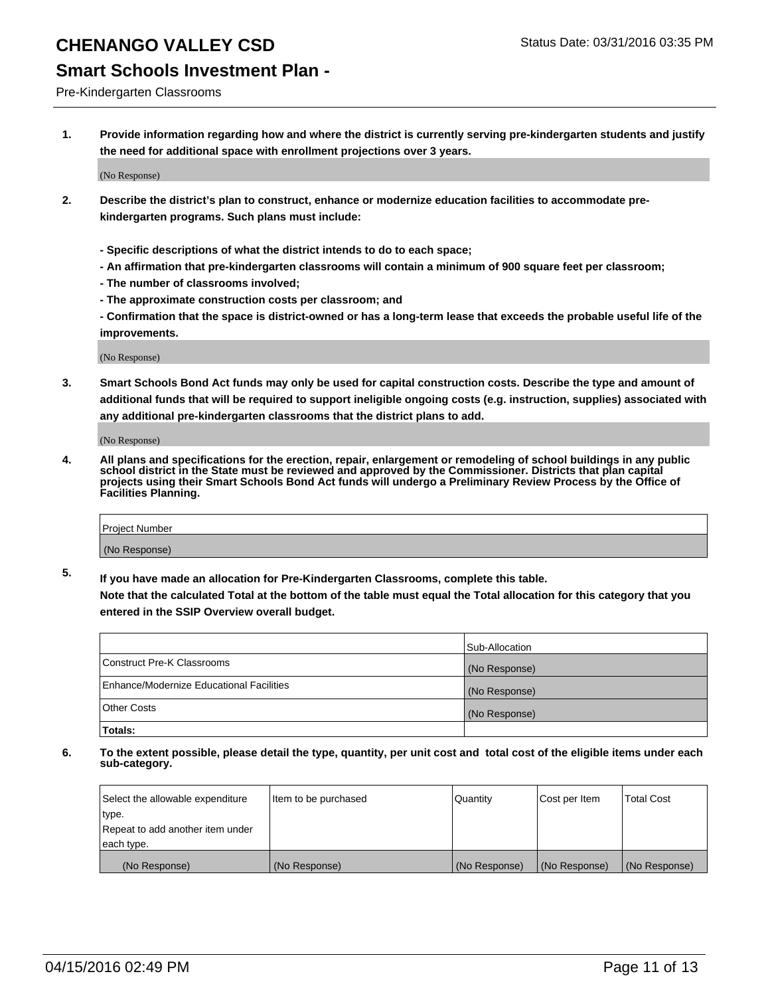### **Smart Schools Investment Plan -**

Pre-Kindergarten Classrooms

**1. Provide information regarding how and where the district is currently serving pre-kindergarten students and justify the need for additional space with enrollment projections over 3 years.**

(No Response)

- **2. Describe the district's plan to construct, enhance or modernize education facilities to accommodate prekindergarten programs. Such plans must include:**
	- **Specific descriptions of what the district intends to do to each space;**
	- **An affirmation that pre-kindergarten classrooms will contain a minimum of 900 square feet per classroom;**
	- **The number of classrooms involved;**
	- **The approximate construction costs per classroom; and**
	- **Confirmation that the space is district-owned or has a long-term lease that exceeds the probable useful life of the improvements.**

(No Response)

**3. Smart Schools Bond Act funds may only be used for capital construction costs. Describe the type and amount of additional funds that will be required to support ineligible ongoing costs (e.g. instruction, supplies) associated with any additional pre-kindergarten classrooms that the district plans to add.**

(No Response)

**4. All plans and specifications for the erection, repair, enlargement or remodeling of school buildings in any public school district in the State must be reviewed and approved by the Commissioner. Districts that plan capital projects using their Smart Schools Bond Act funds will undergo a Preliminary Review Process by the Office of Facilities Planning.**

| Project Number |  |
|----------------|--|
| (No Response)  |  |

**5. If you have made an allocation for Pre-Kindergarten Classrooms, complete this table. Note that the calculated Total at the bottom of the table must equal the Total allocation for this category that you**

**entered in the SSIP Overview overall budget.**

|                                          | Sub-Allocation |
|------------------------------------------|----------------|
| Construct Pre-K Classrooms               | (No Response)  |
| Enhance/Modernize Educational Facilities | (No Response)  |
| Other Costs                              | (No Response)  |
| Totals:                                  |                |

| Select the allowable expenditure | Item to be purchased | Quantity      | Cost per Item | <b>Total Cost</b> |
|----------------------------------|----------------------|---------------|---------------|-------------------|
| type.                            |                      |               |               |                   |
| Repeat to add another item under |                      |               |               |                   |
| each type.                       |                      |               |               |                   |
| (No Response)                    | (No Response)        | (No Response) | (No Response) | (No Response)     |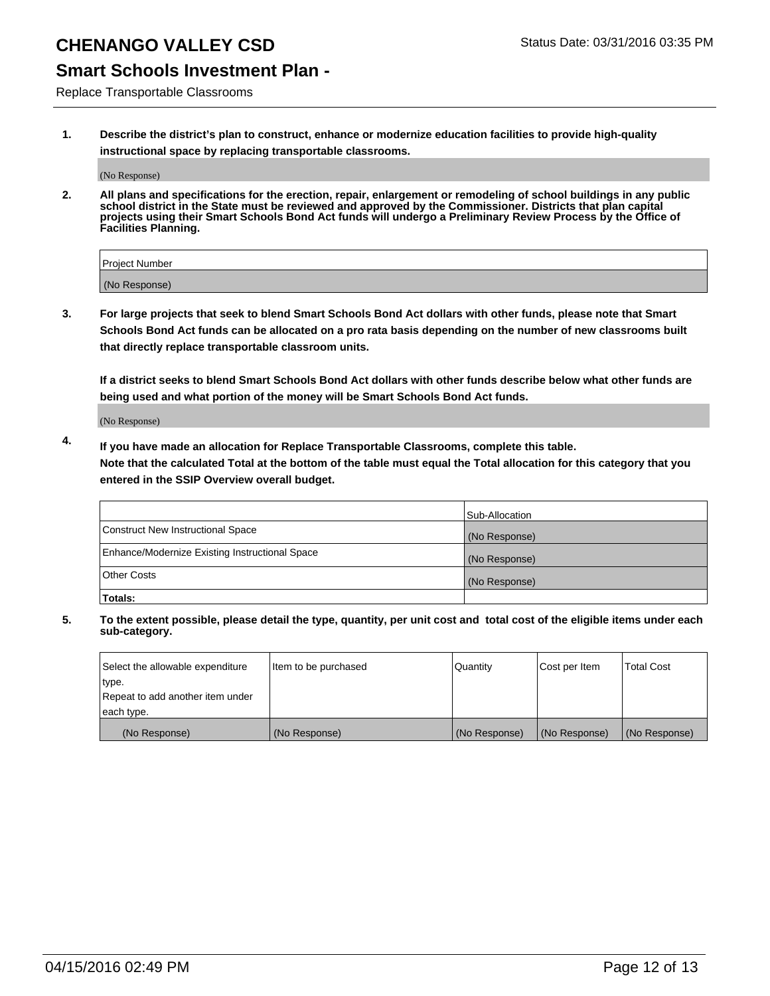### **Smart Schools Investment Plan -**

Replace Transportable Classrooms

**1. Describe the district's plan to construct, enhance or modernize education facilities to provide high-quality instructional space by replacing transportable classrooms.**

(No Response)

**2. All plans and specifications for the erection, repair, enlargement or remodeling of school buildings in any public school district in the State must be reviewed and approved by the Commissioner. Districts that plan capital projects using their Smart Schools Bond Act funds will undergo a Preliminary Review Process by the Office of Facilities Planning.**

| Project Number |  |
|----------------|--|
| (No Response)  |  |

**3. For large projects that seek to blend Smart Schools Bond Act dollars with other funds, please note that Smart Schools Bond Act funds can be allocated on a pro rata basis depending on the number of new classrooms built that directly replace transportable classroom units.**

**If a district seeks to blend Smart Schools Bond Act dollars with other funds describe below what other funds are being used and what portion of the money will be Smart Schools Bond Act funds.**

(No Response)

**4. If you have made an allocation for Replace Transportable Classrooms, complete this table. Note that the calculated Total at the bottom of the table must equal the Total allocation for this category that you entered in the SSIP Overview overall budget.**

|                                                | Sub-Allocation |
|------------------------------------------------|----------------|
| Construct New Instructional Space              | (No Response)  |
| Enhance/Modernize Existing Instructional Space | (No Response)  |
| <b>Other Costs</b>                             | (No Response)  |
| Totals:                                        |                |

| Select the allowable expenditure | Item to be purchased | <b>Quantity</b> | Cost per Item | <b>Total Cost</b> |
|----------------------------------|----------------------|-----------------|---------------|-------------------|
| type.                            |                      |                 |               |                   |
| Repeat to add another item under |                      |                 |               |                   |
| each type.                       |                      |                 |               |                   |
| (No Response)                    | (No Response)        | (No Response)   | (No Response) | (No Response)     |